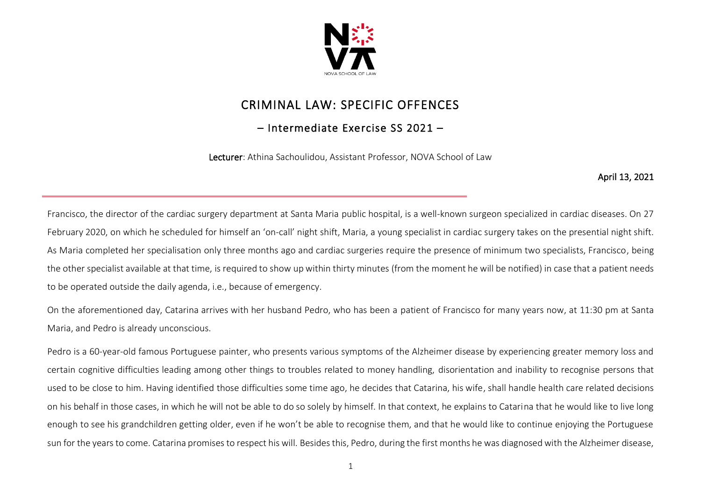

## CRIMINAL LAW: SPECIFIC OFFENCES

## – Intermediate Exercise SS 2021 –

Lecturer: Athina Sachoulidou, Assistant Professor, NOVA School of Law

April 13, 2021

Francisco, the director of the cardiac surgery department at Santa Maria public hospital, is a well-known surgeon specialized in cardiac diseases. On 27 February 2020, on which he scheduled for himself an 'on-call' night shift, Maria, a young specialist in cardiac surgery takes on the presential night shift. As Maria completed her specialisation only three months ago and cardiac surgeries require the presence of minimum two specialists, Francisco, being the other specialist available at that time, is required to show up within thirty minutes (from the moment he will be notified) in case that a patient needs to be operated outside the daily agenda, i.e., because of emergency.

On the aforementioned day, Catarina arrives with her husband Pedro, who has been a patient of Francisco for many years now, at 11:30 pm at Santa Maria, and Pedro is already unconscious.

Pedro is a 60-year-old famous Portuguese painter, who presents various symptoms of the Alzheimer disease by experiencing greater memory loss and certain cognitive difficulties leading among other things to troubles related to money handling, disorientation and inability to recognise persons that used to be close to him. Having identified those difficulties some time ago, he decides that Catarina, his wife, shall handle health care related decisions on his behalf in those cases, in which he will not be able to do so solely by himself. In that context, he explains to Catarina that he would like to live long enough to see his grandchildren getting older, even if he won't be able to recognise them, and that he would like to continue enjoying the Portuguese sun for the years to come. Catarina promises to respect his will. Besides this, Pedro, during the first months he was diagnosed with the Alzheimer disease,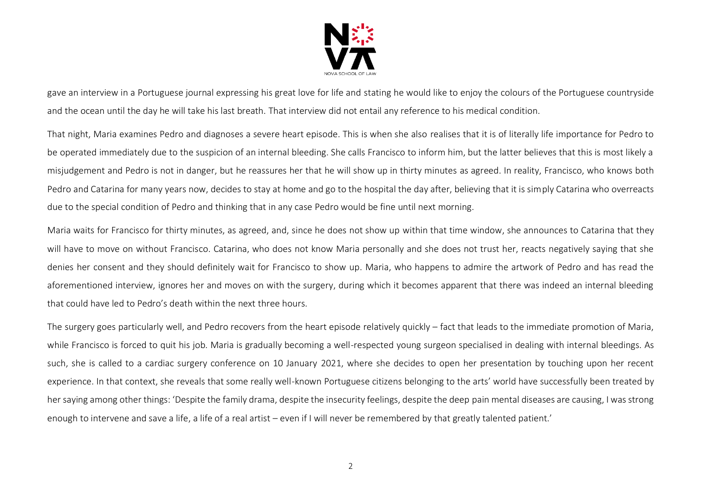

gave an interview in a Portuguese journal expressing his great love for life and stating he would like to enjoy the colours of the Portuguese countryside and the ocean until the day he will take his last breath. That interview did not entail any reference to his medical condition.

That night, Maria examines Pedro and diagnoses a severe heart episode. This is when she also realises that it is of literally life importance for Pedro to be operated immediately due to the suspicion of an internal bleeding. She calls Francisco to inform him, but the latter believes that this is most likely a misjudgement and Pedro is not in danger, but he reassures her that he will show up in thirty minutes as agreed. In reality, Francisco, who knows both Pedro and Catarina for many years now, decides to stay at home and go to the hospital the day after, believing that it is simply Catarina who overreacts due to the special condition of Pedro and thinking that in any case Pedro would be fine until next morning.

Maria waits for Francisco for thirty minutes, as agreed, and, since he does not show up within that time window, she announces to Catarina that they will have to move on without Francisco. Catarina, who does not know Maria personally and she does not trust her, reacts negatively saying that she denies her consent and they should definitely wait for Francisco to show up. Maria, who happens to admire the artwork of Pedro and has read the aforementioned interview, ignores her and moves on with the surgery, during which it becomes apparent that there was indeed an internal bleeding that could have led to Pedro's death within the next three hours.

The surgery goes particularly well, and Pedro recovers from the heart episode relatively quickly – fact that leads to the immediate promotion of Maria, while Francisco is forced to quit his job. Maria is gradually becoming a well-respected young surgeon specialised in dealing with internal bleedings. As such, she is called to a cardiac surgery conference on 10 January 2021, where she decides to open her presentation by touching upon her recent experience. In that context, she reveals that some really well-known Portuguese citizens belonging to the arts' world have successfully been treated by her saying among other things: 'Despite the family drama, despite the insecurity feelings, despite the deep pain mental diseases are causing, I was strong enough to intervene and save a life, a life of a real artist – even if I will never be remembered by that greatly talented patient.'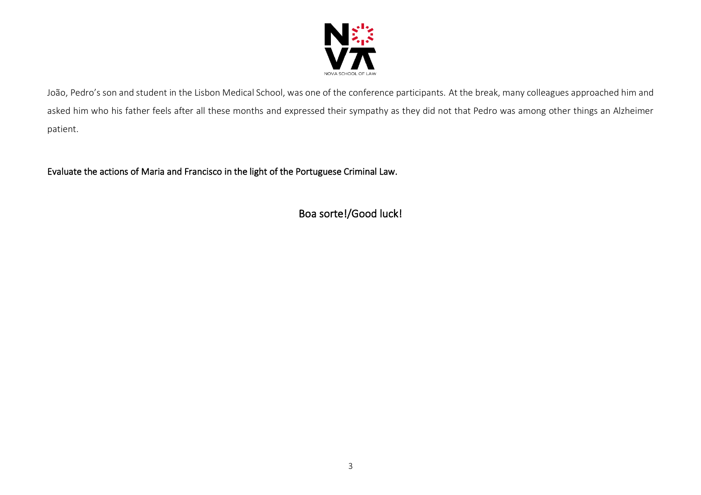

João, Pedro's son and student in the Lisbon Medical School, was one of the conference participants. At the break, many colleagues approached him and asked him who his father feels after all these months and expressed their sympathy as they did not that Pedro was among other things an Alzheimer patient.

Evaluate the actions of Maria and Francisco in the light of the Portuguese Criminal Law.

Boa sorte!/Good luck!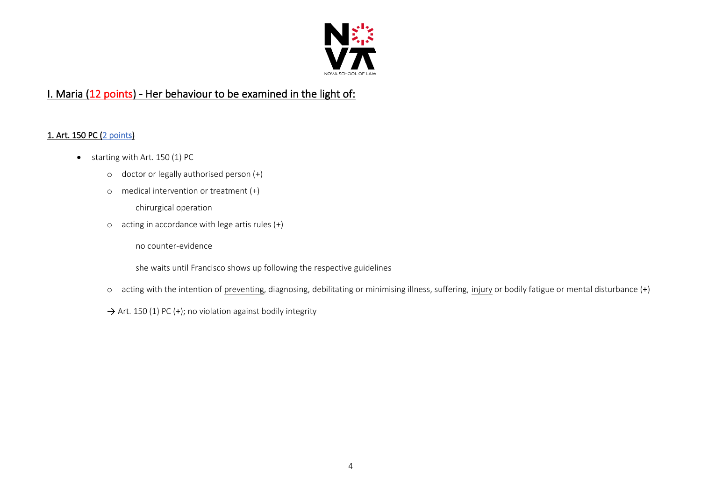

## I. Maria (12 points) - Her behaviour to be examined in the light of:

#### 1. Art. 150 PC (2 points)

- starting with Art. 150 (1) PC
	- o doctor or legally authorised person (+)
	- o medical intervention or treatment (+)

chirurgical operation

o acting in accordance with lege artis rules (+)

no counter-evidence

she waits until Francisco shows up following the respective guidelines

- o acting with the intention of preventing, diagnosing, debilitating or minimising illness, suffering, injury or bodily fatigue or mental disturbance (+)
- $\rightarrow$  Art. 150 (1) PC (+); no violation against bodily integrity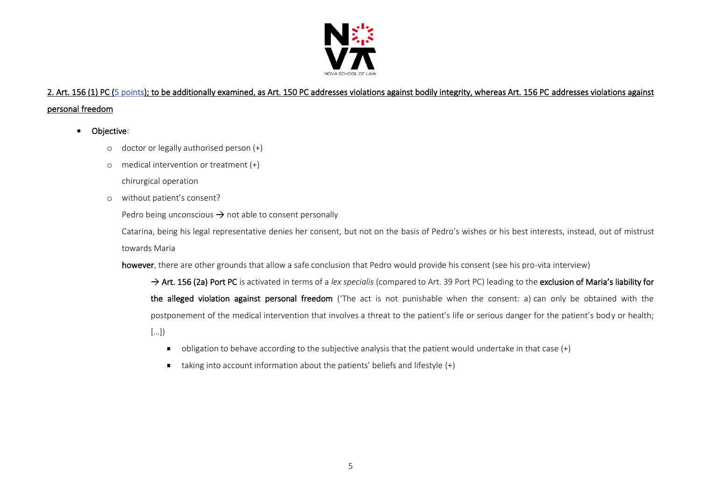

# 2. Art. 156 (1) PC (5 points); to be additionally examined, as Art. 150 PC addresses violations against bodily integrity, whereas Art. 156 PC addresses violations against

#### personal freedom

• Objective:

- o doctor or legally authorised person (+)
- o medical intervention or treatment (+)

chirurgical operation

o without patient's consent?

Pedro being unconscious  $\rightarrow$  not able to consent personally

Catarina, being his legal representative denies her consent, but not on the basis of Pedro's wishes or his best interests, instead, out of mistrust towards Maria

however, there are other grounds that allow a safe conclusion that Pedro would provide his consent (see his pro-vita interview)

→ Art. 156 (2a) Port PC is activated in terms of a *lex specialis* (compared to Art. 39 Port PC) leading to the exclusion of Maria's liability for the alleged violation against personal freedom ('The act is not punishable when the consent: a) can only be obtained with the postponement of the medical intervention that involves a threat to the patient's life or serious danger for the patient's body or health; […])

- obligation to behave according to the subjective analysis that the patient would undertake in that case (+)
- taking into account information about the patients' beliefs and lifestyle  $(+)$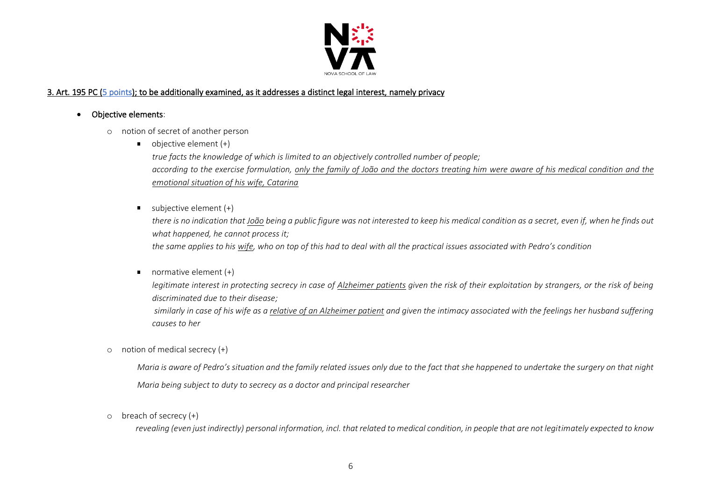

#### 3. Art. 195 PC (5 points); to be additionally examined, as it addresses a distinct legal interest, namely privacy

- Objective elements:
	- o notion of secret of another person
		- $\bullet$  objective element  $(+)$ *true facts the knowledge of which is limited to an objectively controlled number of people; according to the exercise formulation, only the family of João and the doctors treating him were aware of his medical condition and the emotional situation of his wife, Catarina*
		- subjective element  $(+)$

*there is no indication that João being a public figure was not interested to keep his medical condition as a secret, even if, when he finds out what happened, he cannot process it;* 

*the same applies to his wife, who on top of this had to deal with all the practical issues associated with Pedro's condition*

 $\blacksquare$ normative element (+)

> *legitimate interest in protecting secrecy in case of Alzheimer patients given the risk of their exploitation by strangers, or the risk of being discriminated due to their disease;*

> *similarly in case of his wife as a relative of an Alzheimer patient and given the intimacy associated with the feelings her husband suffering causes to her*

o notion of medical secrecy (+)

*Maria is aware of Pedro's situation and the family related issues only due to the fact that she happened to undertake the surgery on that night Maria being subject to duty to secrecy as a doctor and principal researcher*

o breach of secrecy (+)

*revealing (even just indirectly) personal information, incl. that related to medical condition, in people that are not legitimately expected to know*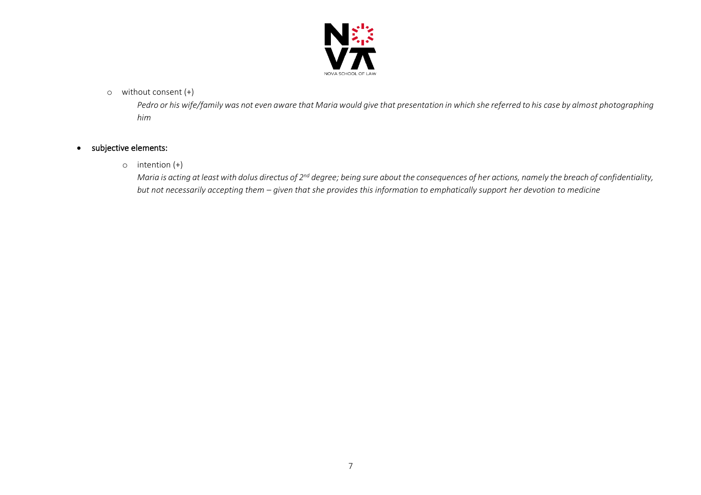

#### o without consent (+)

*Pedro or his wife/family was not even aware that Maria would give that presentation in which she referred to his case by almost photographing him*

#### • subjective elements:

o intention (+)

*Maria is acting at least with dolus directus of 2nd degree; being sure about the consequences of her actions, namely the breach of confidentiality, but not necessarily accepting them – given that she provides this information to emphatically support her devotion to medicine*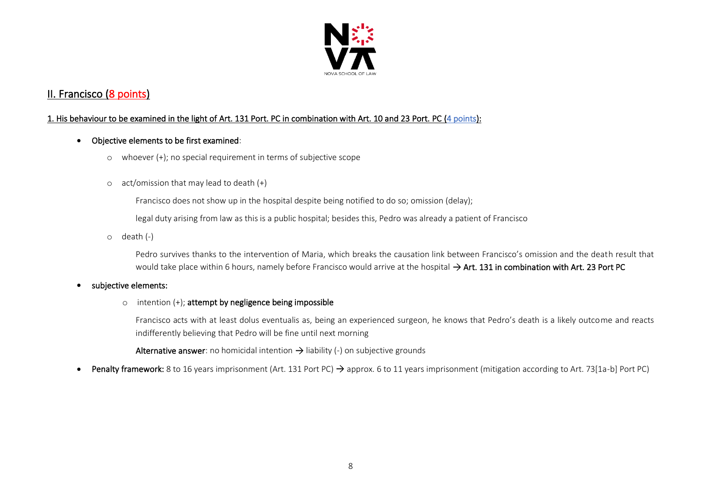

### II. Francisco (8 points)

#### 1. His behaviour to be examined in the light of Art. 131 Port. PC in combination with Art. 10 and 23 Port. PC (4 points):

#### • Objective elements to be first examined:

- o whoever (+); no special requirement in terms of subjective scope
- $\circ$  act/omission that may lead to death  $(+)$

Francisco does not show up in the hospital despite being notified to do so; omission (delay);

legal duty arising from law as this is a public hospital; besides this, Pedro was already a patient of Francisco

o death (-)

Pedro survives thanks to the intervention of Maria, which breaks the causation link between Francisco's omission and the death result that would take place within 6 hours, namely before Francisco would arrive at the hospital  $\rightarrow$  Art. 131 in combination with Art. 23 Port PC

#### • subjective elements:

 $\circ$  intention (+); attempt by negligence being impossible

Francisco acts with at least dolus eventualis as, being an experienced surgeon, he knows that Pedro's death is a likely outcome and reacts indifferently believing that Pedro will be fine until next morning

Alternative answer: no homicidal intention  $\rightarrow$  liability (-) on subjective grounds

**Penalty framework:** 8 to 16 years imprisonment (Art. 131 Port PC)  $\rightarrow$  approx. 6 to 11 years imprisonment (mitigation according to Art. 73[1a-b] Port PC)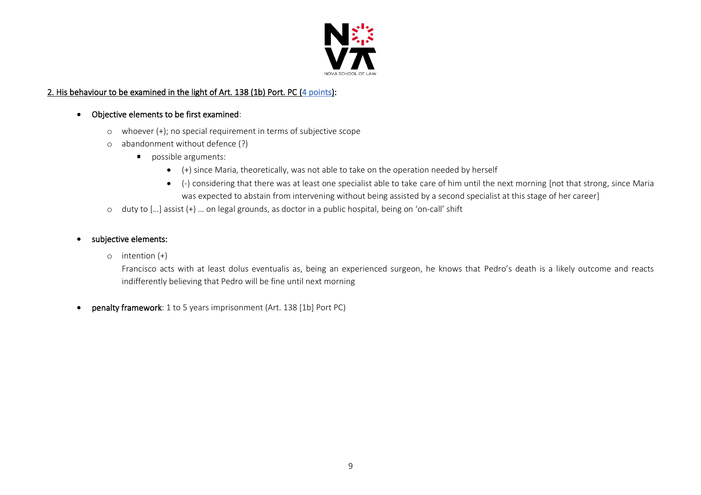

#### 2. His behaviour to be examined in the light of Art. 138 (1b) Port. PC (4 points):

#### • Objective elements to be first examined:

- o whoever (+); no special requirement in terms of subjective scope
- o abandonment without defence (?)
	- possible arguments:
		- (+) since Maria, theoretically, was not able to take on the operation needed by herself
		- (-) considering that there was at least one specialist able to take care of him until the next morning [not that strong, since Maria was expected to abstain from intervening without being assisted by a second specialist at this stage of her career]
- o duty to […] assist (+) … on legal grounds, as doctor in a public hospital, being on 'on-call' shift

#### subjective elements:

o intention (+)

Francisco acts with at least dolus eventualis as, being an experienced surgeon, he knows that Pedro's death is a likely outcome and reacts indifferently believing that Pedro will be fine until next morning

• penalty framework: 1 to 5 years imprisonment (Art. 138 [1b] Port PC)